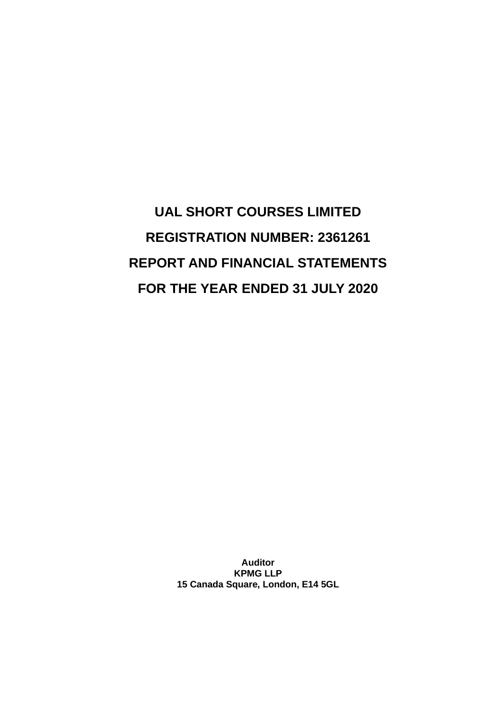**UAL SHORT COURSES LIMITED REGISTRATION NUMBER: 2361261 REPORT AND FINANCIAL STATEMENTS FOR THE YEAR ENDED 31 JULY 2020**

> **Auditor KPMG LLP 15 Canada Square, London, E14 5GL**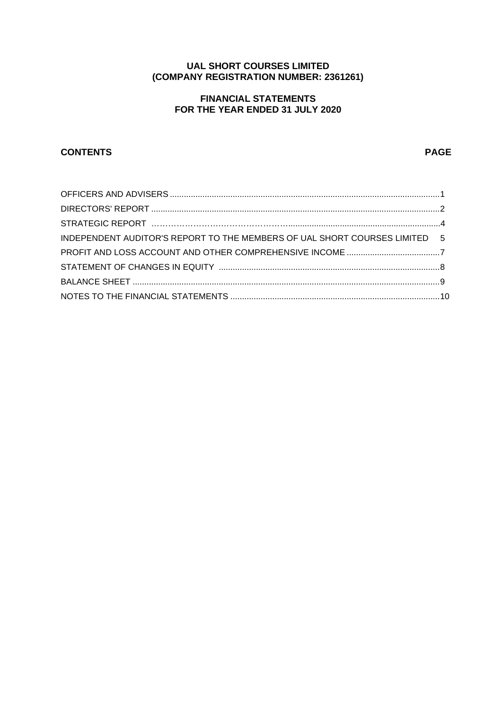# **UAL SHORT COURSES LIMITED (COMPANY REGISTRATION NUMBER: 2361261)**

# **FINANCIAL STATEMENTS FOR THE YEAR ENDED 31 JULY 2020**

# **CONTENTS PAGE**

| INDEPENDENT AUDITOR'S REPORT TO THE MEMBERS OF UAL SHORT COURSES LIMITED 5 |  |
|----------------------------------------------------------------------------|--|
|                                                                            |  |
|                                                                            |  |
|                                                                            |  |
|                                                                            |  |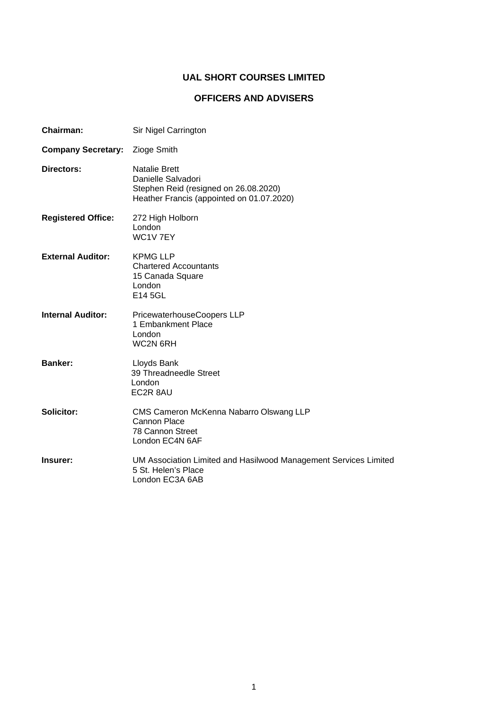# **OFFICERS AND ADVISERS**

| <b>Chairman:</b>          | Sir Nigel Carrington                                                                                                             |
|---------------------------|----------------------------------------------------------------------------------------------------------------------------------|
| <b>Company Secretary:</b> | Zioge Smith                                                                                                                      |
| Directors:                | <b>Natalie Brett</b><br>Danielle Salvadori<br>Stephen Reid (resigned on 26.08.2020)<br>Heather Francis (appointed on 01.07.2020) |
| <b>Registered Office:</b> | 272 High Holborn<br>London<br>WC1V7EY                                                                                            |
| <b>External Auditor:</b>  | <b>KPMG LLP</b><br><b>Chartered Accountants</b><br>15 Canada Square<br>London<br>E14 5GL                                         |
| <b>Internal Auditor:</b>  | PricewaterhouseCoopers LLP<br>1 Embankment Place<br>London<br>WC2N 6RH                                                           |
| <b>Banker:</b>            | Lloyds Bank<br>39 Threadneedle Street<br>London<br>EC2R 8AU                                                                      |
| Solicitor:                | CMS Cameron McKenna Nabarro Olswang LLP<br>Cannon Place<br>78 Cannon Street<br>London EC4N 6AF                                   |
| Insurer:                  | UM Association Limited and Hasilwood Management Services Limited<br>5 St. Helen's Place<br>London EC3A 6AB                       |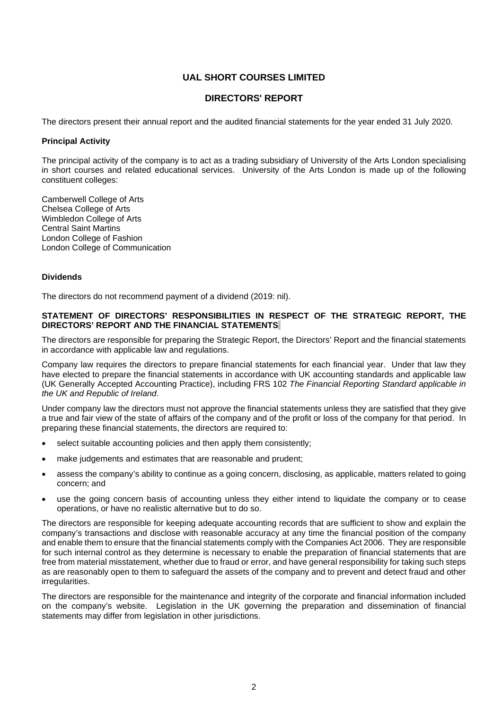### **DIRECTORS' REPORT**

The directors present their annual report and the audited financial statements for the year ended 31 July 2020.

#### **Principal Activity**

The principal activity of the company is to act as a trading subsidiary of University of the Arts London specialising in short courses and related educational services. University of the Arts London is made up of the following constituent colleges:

Camberwell College of Arts Chelsea College of Arts Wimbledon College of Arts Central Saint Martins London College of Fashion London College of Communication

#### **Dividends**

The directors do not recommend payment of a dividend (2019: nil).

#### **STATEMENT OF DIRECTORS' RESPONSIBILITIES IN RESPECT OF THE STRATEGIC REPORT, THE DIRECTORS' REPORT AND THE FINANCIAL STATEMENTS**

The directors are responsible for preparing the Strategic Report, the Directors' Report and the financial statements in accordance with applicable law and regulations.

Company law requires the directors to prepare financial statements for each financial year. Under that law they have elected to prepare the financial statements in accordance with UK accounting standards and applicable law (UK Generally Accepted Accounting Practice), including FRS 102 *The Financial Reporting Standard applicable in the UK and Republic of Ireland*.

Under company law the directors must not approve the financial statements unless they are satisfied that they give a true and fair view of the state of affairs of the company and of the profit or loss of the company for that period. In preparing these financial statements, the directors are required to:

- select suitable accounting policies and then apply them consistently;
- make judgements and estimates that are reasonable and prudent;
- assess the company's ability to continue as a going concern, disclosing, as applicable, matters related to going concern; and
- use the going concern basis of accounting unless they either intend to liquidate the company or to cease operations, or have no realistic alternative but to do so.

The directors are responsible for keeping adequate accounting records that are sufficient to show and explain the company's transactions and disclose with reasonable accuracy at any time the financial position of the company and enable them to ensure that the financial statements comply with the Companies Act 2006. They are responsible for such internal control as they determine is necessary to enable the preparation of financial statements that are free from material misstatement, whether due to fraud or error, and have general responsibility for taking such steps as are reasonably open to them to safeguard the assets of the company and to prevent and detect fraud and other irregularities.

The directors are responsible for the maintenance and integrity of the corporate and financial information included on the company's website. Legislation in the UK governing the preparation and dissemination of financial statements may differ from legislation in other jurisdictions.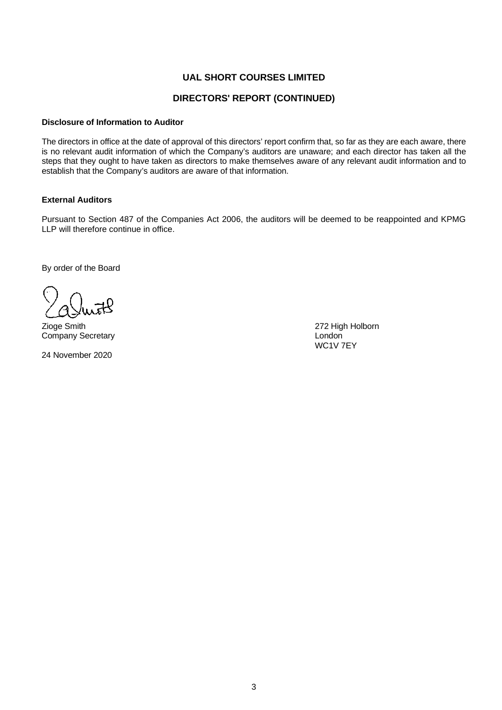### **DIRECTORS' REPORT (CONTINUED)**

#### **Disclosure of Information to Auditor**

The directors in office at the date of approval of this directors' report confirm that, so far as they are each aware, there is no relevant audit information of which the Company's auditors are unaware; and each director has taken all the steps that they ought to have taken as directors to make themselves aware of any relevant audit information and to establish that the Company's auditors are aware of that information.

### **External Auditors**

Pursuant to Section 487 of the Companies Act 2006, the auditors will be deemed to be reappointed and KPMG LLP will therefore continue in office.

By order of the Board

Zioge Smith 272 High Holborn Company Secretary **London** 

24 November 2020

WC1V 7EY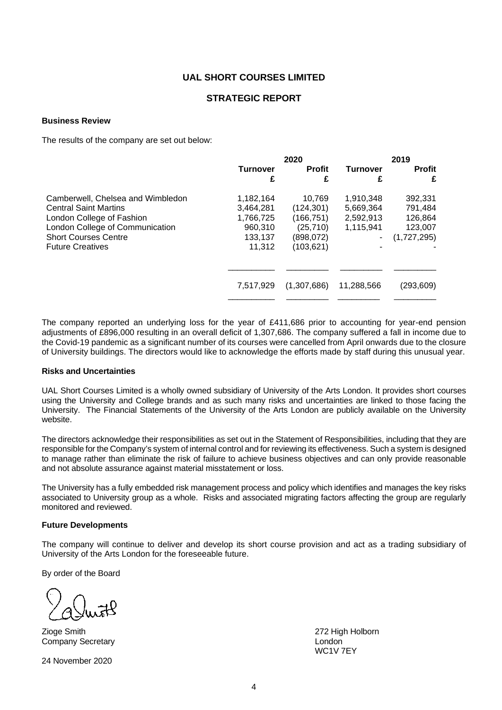### **STRATEGIC REPORT**

#### **Business Review**

The results of the company are set out below:

|                                   |                 | 2020          | 2019            |               |  |
|-----------------------------------|-----------------|---------------|-----------------|---------------|--|
|                                   | <b>Turnover</b> | <b>Profit</b> | <b>Turnover</b> | <b>Profit</b> |  |
|                                   | £               | £             | £               | £             |  |
| Camberwell, Chelsea and Wimbledon | 1,182,164       | 10.769        | 1,910,348       | 392,331       |  |
| <b>Central Saint Martins</b>      | 3,464,281       | (124,301)     | 5,669,364       | 791,484       |  |
| London College of Fashion         | 1,766,725       | (166,751)     | 2,592,913       | 126,864       |  |
| London College of Communication   | 960,310         | (25, 710)     | 1,115,941       | 123,007       |  |
| <b>Short Courses Centre</b>       | 133,137         | (898,072)     |                 | (1,727,295)   |  |
| <b>Future Creatives</b>           | 11.312          | (103,621)     |                 |               |  |
|                                   |                 |               |                 |               |  |
|                                   | 7.517.929       | (1,307,686)   | 11,288,566      | (293,609)     |  |
|                                   |                 |               |                 |               |  |

The company reported an underlying loss for the year of £411,686 prior to accounting for year-end pension adjustments of £896,000 resulting in an overall deficit of 1,307,686. The company suffered a fall in income due to the Covid-19 pandemic as a significant number of its courses were cancelled from April onwards due to the closure of University buildings. The directors would like to acknowledge the efforts made by staff during this unusual year.

#### **Risks and Uncertainties**

UAL Short Courses Limited is a wholly owned subsidiary of University of the Arts London. It provides short courses using the University and College brands and as such many risks and uncertainties are linked to those facing the University. The Financial Statements of the University of the Arts London are publicly available on the University website.

The directors acknowledge their responsibilities as set out in the Statement of Responsibilities, including that they are responsible for the Company's system of internal control and for reviewing its effectiveness. Such a system is designed to manage rather than eliminate the risk of failure to achieve business objectives and can only provide reasonable and not absolute assurance against material misstatement or loss.

The University has a fully embedded risk management process and policy which identifies and manages the key risks associated to University group as a whole. Risks and associated migrating factors affecting the group are regularly monitored and reviewed.

#### **Future Developments**

The company will continue to deliver and develop its short course provision and act as a trading subsidiary of University of the Arts London for the foreseeable future.

By order of the Board

Zioge Smith 272 High Holborn Company Secretary London

24 November 2020

WC1V 7EY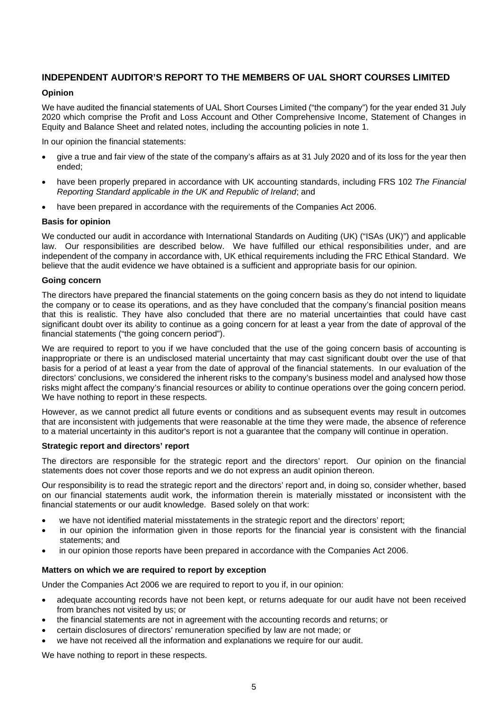## **INDEPENDENT AUDITOR'S REPORT TO THE MEMBERS OF UAL SHORT COURSES LIMITED**

#### **Opinion**

We have audited the financial statements of UAL Short Courses Limited ("the company") for the year ended 31 July 2020 which comprise the Profit and Loss Account and Other Comprehensive Income, Statement of Changes in Equity and Balance Sheet and related notes, including the accounting policies in note 1.

In our opinion the financial statements:

- give a true and fair view of the state of the company's affairs as at 31 July 2020 and of its loss for the year then ended;
- have been properly prepared in accordance with UK accounting standards, including FRS 102 *The Financial Reporting Standard applicable in the UK and Republic of Ireland*; and
- have been prepared in accordance with the requirements of the Companies Act 2006.

#### **Basis for opinion**

We conducted our audit in accordance with International Standards on Auditing (UK) ("ISAs (UK)") and applicable law. Our responsibilities are described below. We have fulfilled our ethical responsibilities under, and are independent of the company in accordance with, UK ethical requirements including the FRC Ethical Standard. We believe that the audit evidence we have obtained is a sufficient and appropriate basis for our opinion.

#### **Going concern**

The directors have prepared the financial statements on the going concern basis as they do not intend to liquidate the company or to cease its operations, and as they have concluded that the company's financial position means that this is realistic. They have also concluded that there are no material uncertainties that could have cast significant doubt over its ability to continue as a going concern for at least a year from the date of approval of the financial statements ("the going concern period").

We are required to report to you if we have concluded that the use of the going concern basis of accounting is inappropriate or there is an undisclosed material uncertainty that may cast significant doubt over the use of that basis for a period of at least a year from the date of approval of the financial statements. In our evaluation of the directors' conclusions, we considered the inherent risks to the company's business model and analysed how those risks might affect the company's financial resources or ability to continue operations over the going concern period. We have nothing to report in these respects.

However, as we cannot predict all future events or conditions and as subsequent events may result in outcomes that are inconsistent with judgements that were reasonable at the time they were made, the absence of reference to a material uncertainty in this auditor's report is not a guarantee that the company will continue in operation.

#### **Strategic report and directors' report**

The directors are responsible for the strategic report and the directors' report. Our opinion on the financial statements does not cover those reports and we do not express an audit opinion thereon.

Our responsibility is to read the strategic report and the directors' report and, in doing so, consider whether, based on our financial statements audit work, the information therein is materially misstated or inconsistent with the financial statements or our audit knowledge. Based solely on that work:

- we have not identified material misstatements in the strategic report and the directors' report;
- in our opinion the information given in those reports for the financial year is consistent with the financial statements; and
- in our opinion those reports have been prepared in accordance with the Companies Act 2006.

#### **Matters on which we are required to report by exception**

Under the Companies Act 2006 we are required to report to you if, in our opinion:

- adequate accounting records have not been kept, or returns adequate for our audit have not been received from branches not visited by us; or
- the financial statements are not in agreement with the accounting records and returns; or
- certain disclosures of directors' remuneration specified by law are not made; or
- we have not received all the information and explanations we require for our audit.

We have nothing to report in these respects.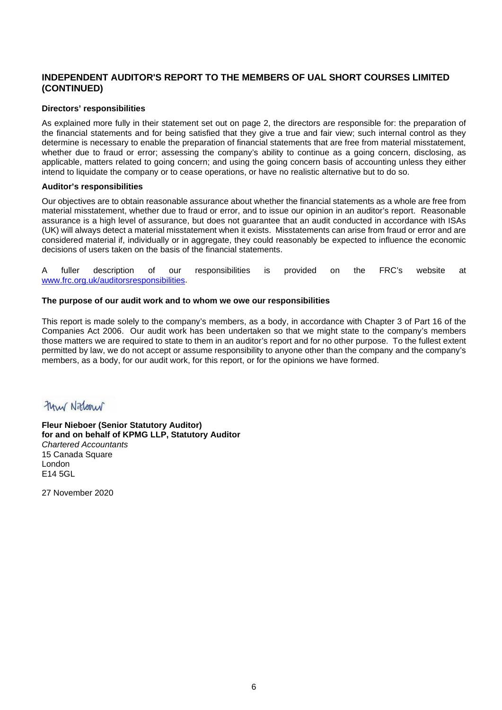### **INDEPENDENT AUDITOR'S REPORT TO THE MEMBERS OF UAL SHORT COURSES LIMITED (CONTINUED)**

#### **Directors' responsibilities**

As explained more fully in their statement set out on page 2, the directors are responsible for: the preparation of the financial statements and for being satisfied that they give a true and fair view; such internal control as they determine is necessary to enable the preparation of financial statements that are free from material misstatement, whether due to fraud or error; assessing the company's ability to continue as a going concern, disclosing, as applicable, matters related to going concern; and using the going concern basis of accounting unless they either intend to liquidate the company or to cease operations, or have no realistic alternative but to do so.

#### **Auditor's responsibilities**

Our objectives are to obtain reasonable assurance about whether the financial statements as a whole are free from material misstatement, whether due to fraud or error, and to issue our opinion in an auditor's report. Reasonable assurance is a high level of assurance, but does not guarantee that an audit conducted in accordance with ISAs (UK) will always detect a material misstatement when it exists. Misstatements can arise from fraud or error and are considered material if, individually or in aggregate, they could reasonably be expected to influence the economic decisions of users taken on the basis of the financial statements.

A fuller description of our responsibilities is provided on the FRC's website at [www.frc.org.uk/auditorsresponsibilities.](http://www.frc.org.uk/auditorsresponsibilities)

#### **The purpose of our audit work and to whom we owe our responsibilities**

This report is made solely to the company's members, as a body, in accordance with Chapter 3 of Part 16 of the Companies Act 2006. Our audit work has been undertaken so that we might state to the company's members those matters we are required to state to them in an auditor's report and for no other purpose. To the fullest extent permitted by law, we do not accept or assume responsibility to anyone other than the company and the company's members, as a body, for our audit work, for this report, or for the opinions we have formed.

# Frank Niklanur

**Fleur Nieboer (Senior Statutory Auditor) for and on behalf of KPMG LLP, Statutory Auditor**  *Chartered Accountants*  15 Canada Square London E14 5GL

27 November 2020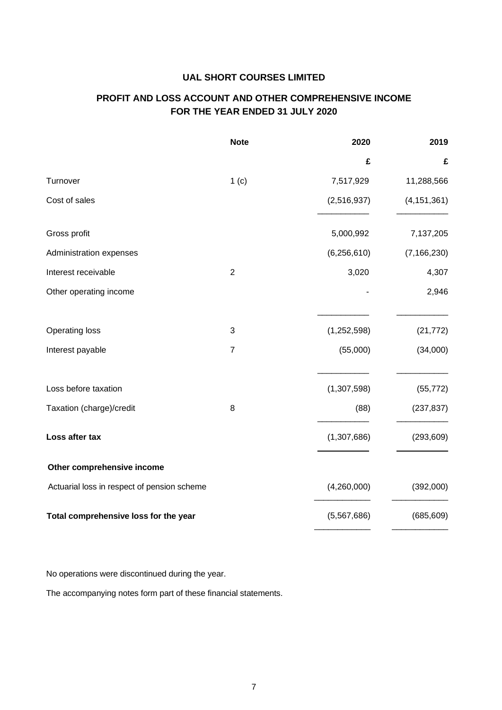# **PROFIT AND LOSS ACCOUNT AND OTHER COMPREHENSIVE INCOME FOR THE YEAR ENDED 31 JULY 2020**

|                                             | <b>Note</b>    | 2020          | 2019          |
|---------------------------------------------|----------------|---------------|---------------|
|                                             |                | £             | £             |
| Turnover                                    | 1(c)           | 7,517,929     | 11,288,566    |
| Cost of sales                               |                | (2,516,937)   | (4, 151, 361) |
| Gross profit                                |                | 5,000,992     | 7,137,205     |
| Administration expenses                     |                | (6, 256, 610) | (7, 166, 230) |
| Interest receivable                         | $\overline{2}$ | 3,020         | 4,307         |
| Other operating income                      |                |               | 2,946         |
| Operating loss                              | 3              | (1,252,598)   | (21, 772)     |
| Interest payable                            | $\overline{7}$ | (55,000)      | (34,000)      |
| Loss before taxation                        |                | (1,307,598)   | (55, 772)     |
| Taxation (charge)/credit                    | 8              | (88)          | (237, 837)    |
| Loss after tax                              |                | (1,307,686)   | (293, 609)    |
| Other comprehensive income                  |                |               |               |
| Actuarial loss in respect of pension scheme |                | (4,260,000)   | (392,000)     |
| Total comprehensive loss for the year       |                | (5,567,686)   | (685, 609)    |

No operations were discontinued during the year.

The accompanying notes form part of these financial statements.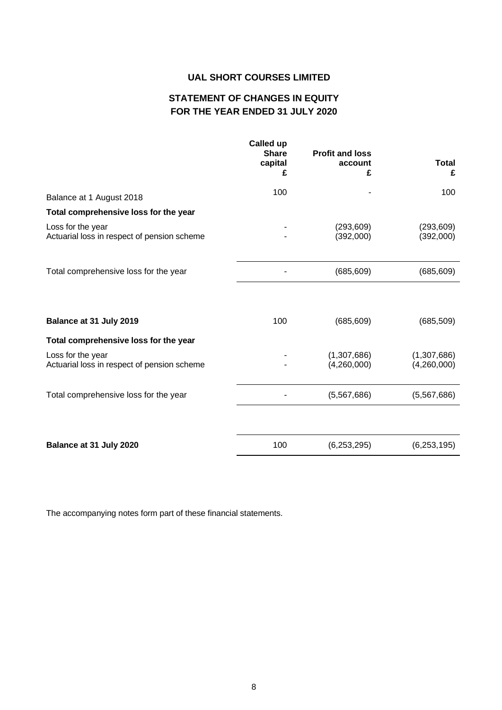# **STATEMENT OF CHANGES IN EQUITY FOR THE YEAR ENDED 31 JULY 2020**

|                                                                  | £   | account<br>£               | <b>Total</b><br>£          |
|------------------------------------------------------------------|-----|----------------------------|----------------------------|
| Balance at 1 August 2018                                         | 100 |                            | 100                        |
| Total comprehensive loss for the year                            |     |                            |                            |
| Loss for the year<br>Actuarial loss in respect of pension scheme |     | (293, 609)<br>(392,000)    | (293, 609)<br>(392,000)    |
| Total comprehensive loss for the year                            |     | (685, 609)                 | (685, 609)                 |
| Balance at 31 July 2019                                          | 100 | (685, 609)                 | (685, 509)                 |
| Total comprehensive loss for the year                            |     |                            |                            |
| Loss for the year<br>Actuarial loss in respect of pension scheme |     | (1,307,686)<br>(4,260,000) | (1,307,686)<br>(4,260,000) |
| Total comprehensive loss for the year                            |     | (5,567,686)                | (5,567,686)                |
|                                                                  |     |                            |                            |
| Balance at 31 July 2020                                          | 100 | (6,253,295)                | (6,253,195)                |

The accompanying notes form part of these financial statements.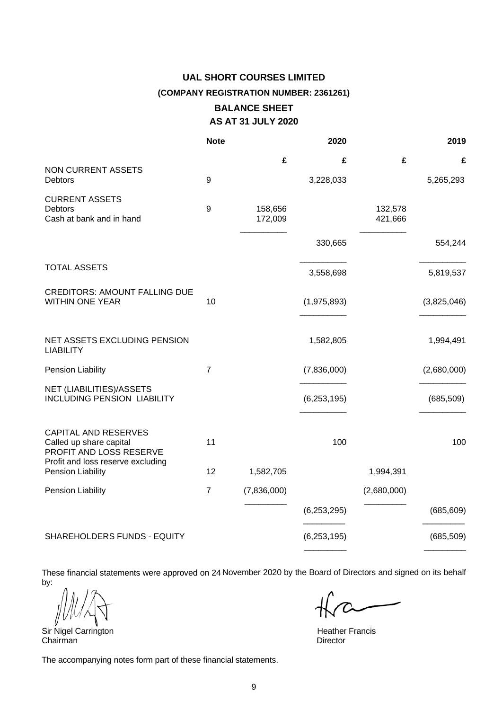# **UAL SHORT COURSES LIMITED (COMPANY REGISTRATION NUMBER: 2361261) BALANCE SHEET**

# **AS AT 31 JULY 2020**

|                                                                                                                        | <b>Note</b>    |                    | 2020          |                    | 2019        |
|------------------------------------------------------------------------------------------------------------------------|----------------|--------------------|---------------|--------------------|-------------|
|                                                                                                                        |                | £                  | £             | £                  | £           |
| NON CURRENT ASSETS<br>Debtors                                                                                          | 9              |                    | 3,228,033     |                    | 5,265,293   |
| <b>CURRENT ASSETS</b><br><b>Debtors</b><br>Cash at bank and in hand                                                    | 9              | 158,656<br>172,009 |               | 132,578<br>421,666 |             |
|                                                                                                                        |                |                    | 330,665       |                    | 554,244     |
| <b>TOTAL ASSETS</b>                                                                                                    |                |                    | 3,558,698     |                    | 5,819,537   |
| <b>CREDITORS: AMOUNT FALLING DUE</b><br><b>WITHIN ONE YEAR</b>                                                         | 10             |                    | (1,975,893)   |                    | (3,825,046) |
| NET ASSETS EXCLUDING PENSION<br><b>LIABILITY</b>                                                                       |                |                    | 1,582,805     |                    | 1,994,491   |
| <b>Pension Liability</b>                                                                                               | 7              |                    | (7,836,000)   |                    | (2,680,000) |
| NET (LIABILITIES)/ASSETS<br><b>INCLUDING PENSION LIABILITY</b>                                                         |                |                    | (6, 253, 195) |                    | (685, 509)  |
| <b>CAPITAL AND RESERVES</b><br>Called up share capital<br>PROFIT AND LOSS RESERVE<br>Profit and loss reserve excluding | 11             |                    | 100           |                    | 100         |
| Pension Liability                                                                                                      | 12             | 1,582,705          |               | 1,994,391          |             |
| <b>Pension Liability</b>                                                                                               | $\overline{7}$ | (7,836,000)        |               | (2,680,000)        |             |
|                                                                                                                        |                |                    | (6, 253, 295) |                    | (685, 609)  |
| SHAREHOLDERS FUNDS - EQUITY                                                                                            |                |                    | (6, 253, 195) |                    | (685, 509)  |

These financial statements were approved on 24 November 2020 by the Board of Directors and signed on its behalf by:

Sir Nigel Carrington **Exercise Side Carrington** Heather Francis Chairman **Heather Francis** Chairman

The accompanying notes form part of these financial statements.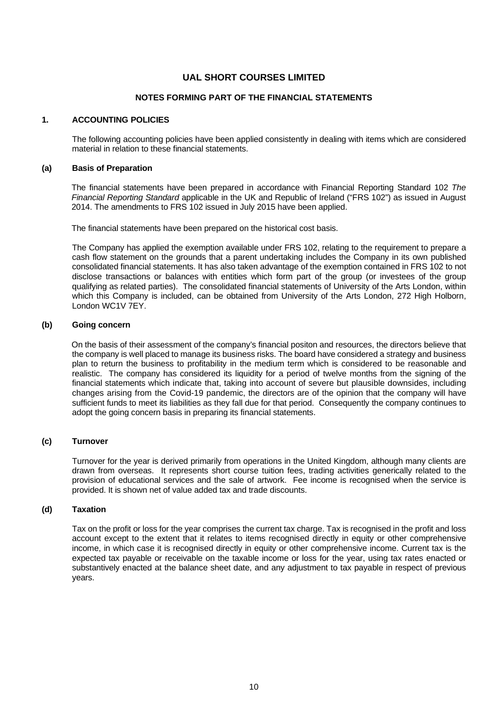#### **NOTES FORMING PART OF THE FINANCIAL STATEMENTS**

### **1. ACCOUNTING POLICIES**

The following accounting policies have been applied consistently in dealing with items which are considered material in relation to these financial statements.

#### **(a) Basis of Preparation**

The financial statements have been prepared in accordance with Financial Reporting Standard 102 *The Financial Reporting Standard* applicable in the UK and Republic of Ireland ("FRS 102") as issued in August 2014. The amendments to FRS 102 issued in July 2015 have been applied.

The financial statements have been prepared on the historical cost basis.

The Company has applied the exemption available under FRS 102, relating to the requirement to prepare a cash flow statement on the grounds that a parent undertaking includes the Company in its own published consolidated financial statements. It has also taken advantage of the exemption contained in FRS 102 to not disclose transactions or balances with entities which form part of the group (or investees of the group qualifying as related parties). The consolidated financial statements of University of the Arts London, within which this Company is included, can be obtained from University of the Arts London, 272 High Holborn, London WC1V 7EY.

#### **(b) Going concern**

On the basis of their assessment of the company's financial positon and resources, the directors believe that the company is well placed to manage its business risks. The board have considered a strategy and business plan to return the business to profitability in the medium term which is considered to be reasonable and realistic. The company has considered its liquidity for a period of twelve months from the signing of the financial statements which indicate that, taking into account of severe but plausible downsides, including changes arising from the Covid-19 pandemic, the directors are of the opinion that the company will have sufficient funds to meet its liabilities as they fall due for that period. Consequently the company continues to adopt the going concern basis in preparing its financial statements.

#### **(c) Turnover**

Turnover for the year is derived primarily from operations in the United Kingdom, although many clients are drawn from overseas. It represents short course tuition fees, trading activities generically related to the provision of educational services and the sale of artwork. Fee income is recognised when the service is provided. It is shown net of value added tax and trade discounts.

#### **(d) Taxation**

Tax on the profit or loss for the year comprises the current tax charge. Tax is recognised in the profit and loss account except to the extent that it relates to items recognised directly in equity or other comprehensive income, in which case it is recognised directly in equity or other comprehensive income. Current tax is the expected tax payable or receivable on the taxable income or loss for the year, using tax rates enacted or substantively enacted at the balance sheet date, and any adjustment to tax payable in respect of previous years.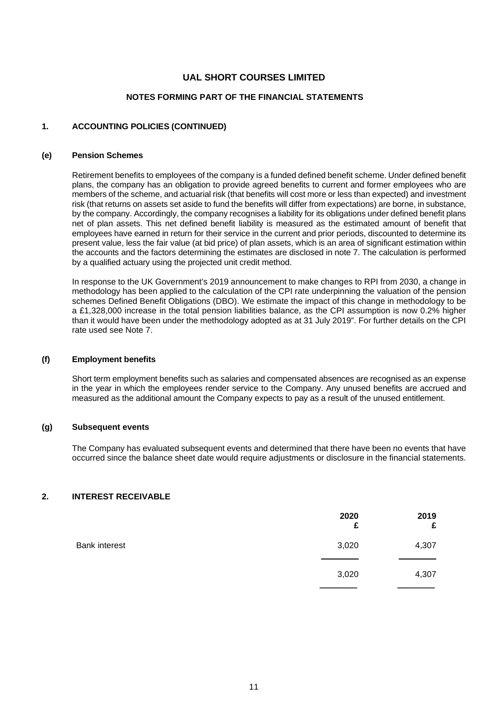### **NOTES FORMING PART OF THE FINANCIAL STATEMENTS**

#### **1. ACCOUNTING POLICIES (CONTINUED)**

#### **(e) Pension Schemes**

Retirement benefits to employees of the company is a funded defined benefit scheme. Under defined benefit plans, the company has an obligation to provide agreed benefits to current and former employees who are members of the scheme, and actuarial risk (that benefits will cost more or less than expected) and investment risk (that returns on assets set aside to fund the benefits will differ from expectations) are borne, in substance, by the company. Accordingly, the company recognises a liability for its obligations under defined benefit plans net of plan assets. This net defined benefit liability is measured as the estimated amount of benefit that employees have earned in return for their service in the current and prior periods, discounted to determine its present value, less the fair value (at bid price) of plan assets, which is an area of significant estimation within the accounts and the factors determining the estimates are disclosed in note 7. The calculation is performed by a qualified actuary using the projected unit credit method.

In response to the UK Government's 2019 announcement to make changes to RPI from 2030, a change in methodology has been applied to the calculation of the CPI rate underpinning the valuation of the pension schemes Defined Benefit Obligations (DBO). We estimate the impact of this change in methodology to be a £1,328,000 increase in the total pension liabilities balance, as the CPI assumption is now 0.2% higher than it would have been under the methodology adopted as at 31 July 2019". For further details on the CPI rate used see Note 7.

#### **(f) Employment benefits**

Short term employment benefits such as salaries and compensated absences are recognised as an expense in the year in which the employees render service to the Company. Any unused benefits are accrued and measured as the additional amount the Company expects to pay as a result of the unused entitlement.

#### **(g) Subsequent events**

The Company has evaluated subsequent events and determined that there have been no events that have occurred since the balance sheet date would require adjustments or disclosure in the financial statements.

#### **2. INTEREST RECEIVABLE**

|                      | 2020<br>£ | 2019<br>£ |
|----------------------|-----------|-----------|
| <b>Bank interest</b> | 3,020     | 4,307     |
|                      | 3,020     | 4,307     |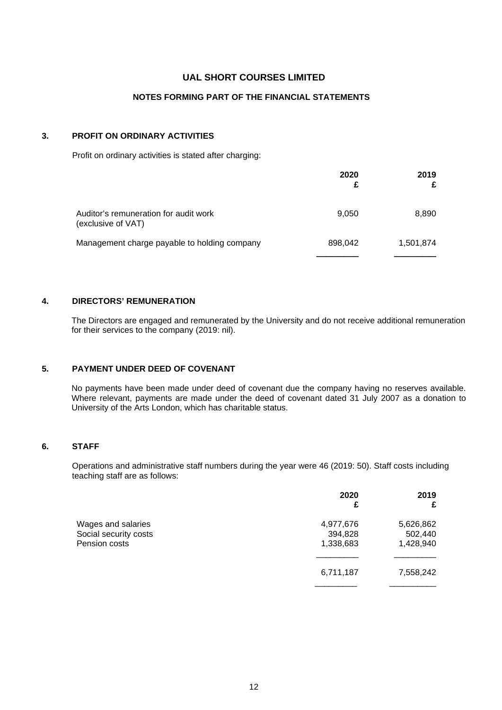### **NOTES FORMING PART OF THE FINANCIAL STATEMENTS**

### **3. PROFIT ON ORDINARY ACTIVITIES**

Profit on ordinary activities is stated after charging:

|                                                             | 2020<br>£ | 2019<br>£ |
|-------------------------------------------------------------|-----------|-----------|
| Auditor's remuneration for audit work<br>(exclusive of VAT) | 9.050     | 8,890     |
| Management charge payable to holding company                | 898,042   | 1,501,874 |
|                                                             |           |           |

#### **4. DIRECTORS' REMUNERATION**

The Directors are engaged and remunerated by the University and do not receive additional remuneration for their services to the company (2019: nil).

### **5. PAYMENT UNDER DEED OF COVENANT**

No payments have been made under deed of covenant due the company having no reserves available. Where relevant, payments are made under the deed of covenant dated 31 July 2007 as a donation to University of the Arts London, which has charitable status.

#### **6. STAFF**

Operations and administrative staff numbers during the year were 46 (2019: 50). Staff costs including teaching staff are as follows:

|                       | 2020<br>£ | 2019<br>£ |
|-----------------------|-----------|-----------|
| Wages and salaries    | 4,977,676 | 5,626,862 |
| Social security costs | 394,828   | 502,440   |
| Pension costs         | 1,338,683 | 1,428,940 |
|                       |           |           |
|                       | 6,711,187 | 7,558,242 |
|                       |           |           |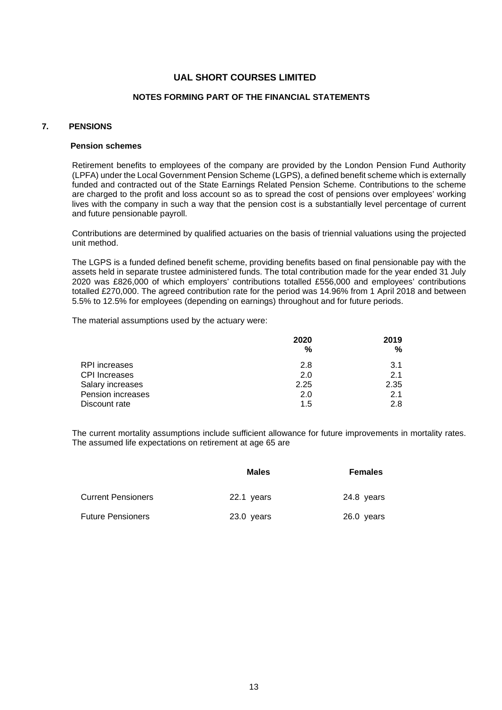#### **NOTES FORMING PART OF THE FINANCIAL STATEMENTS**

### **7. PENSIONS**

#### **Pension schemes**

Retirement benefits to employees of the company are provided by the London Pension Fund Authority (LPFA) under the Local Government Pension Scheme (LGPS), a defined benefit scheme which is externally funded and contracted out of the State Earnings Related Pension Scheme. Contributions to the scheme are charged to the profit and loss account so as to spread the cost of pensions over employees' working lives with the company in such a way that the pension cost is a substantially level percentage of current and future pensionable payroll.

Contributions are determined by qualified actuaries on the basis of triennial valuations using the projected unit method.

The LGPS is a funded defined benefit scheme, providing benefits based on final pensionable pay with the assets held in separate trustee administered funds. The total contribution made for the year ended 31 July 2020 was £826,000 of which employers' contributions totalled £556,000 and employees' contributions totalled £270,000. The agreed contribution rate for the period was 14.96% from 1 April 2018 and between 5.5% to 12.5% for employees (depending on earnings) throughout and for future periods.

The material assumptions used by the actuary were:

|                      | 2020 | 2019 |
|----------------------|------|------|
|                      | %    | %    |
| RPI increases        | 2.8  | 3.1  |
| <b>CPI</b> Increases | 2.0  | 2.1  |
| Salary increases     | 2.25 | 2.35 |
| Pension increases    | 2.0  | 2.1  |
| Discount rate        | 1.5  | 2.8  |

The current mortality assumptions include sufficient allowance for future improvements in mortality rates. The assumed life expectations on retirement at age 65 are

|                           | <b>Males</b> | <b>Females</b> |
|---------------------------|--------------|----------------|
| <b>Current Pensioners</b> | 22.1 years   | 24.8 years     |
| <b>Future Pensioners</b>  | 23.0 years   | 26.0 years     |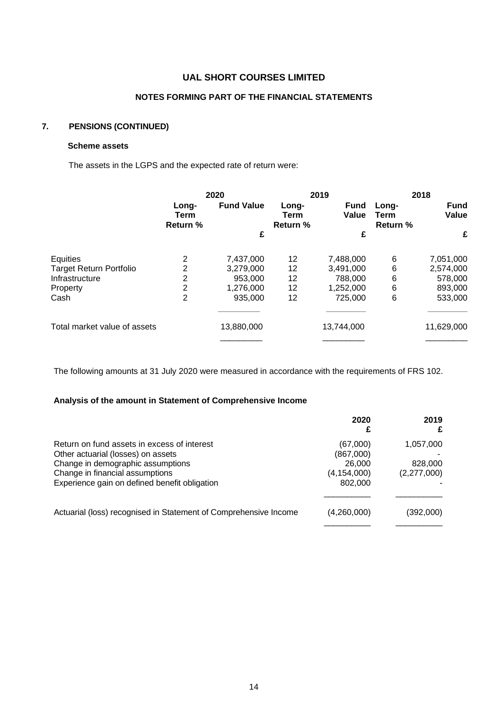### **NOTES FORMING PART OF THE FINANCIAL STATEMENTS**

# **7. PENSIONS (CONTINUED)**

### **Scheme assets**

The assets in the LGPS and the expected rate of return were:

|                                | 2020                                    |                   |                                  | 2019                 |                           | 2018                 |  |
|--------------------------------|-----------------------------------------|-------------------|----------------------------------|----------------------|---------------------------|----------------------|--|
|                                | Long-<br><b>Term</b><br><b>Return %</b> | <b>Fund Value</b> | Long-<br>Term<br><b>Return %</b> | <b>Fund</b><br>Value | Long-<br>Term<br>Return % | <b>Fund</b><br>Value |  |
|                                |                                         | £                 |                                  | £                    |                           | £                    |  |
| Equities                       | 2                                       | 7,437,000         | 12                               | 7,488,000            | 6                         | 7,051,000            |  |
| <b>Target Return Portfolio</b> | 2                                       | 3,279,000         | 12                               | 3,491,000            | 6                         | 2,574,000            |  |
| Infrastructure                 | 2                                       | 953,000           | 12                               | 788,000              | 6                         | 578,000              |  |
| Property                       | 2                                       | 1,276,000         | 12                               | 1,252,000            | 6                         | 893,000              |  |
| Cash                           | $\overline{2}$                          | 935,000           | 12                               | 725,000              | 6                         | 533,000              |  |
| Total market value of assets   |                                         | 13,880,000        |                                  | 13,744,000           |                           | 11,629,000           |  |
|                                |                                         |                   |                                  |                      |                           |                      |  |

The following amounts at 31 July 2020 were measured in accordance with the requirements of FRS 102.

### **Analysis of the amount in Statement of Comprehensive Income**

|                                                                  | 2020          | 2019<br>£   |
|------------------------------------------------------------------|---------------|-------------|
| Return on fund assets in excess of interest                      | (67,000)      | 1,057,000   |
| Other actuarial (losses) on assets                               | (867,000)     |             |
| Change in demographic assumptions                                | 26,000        | 828,000     |
| Change in financial assumptions                                  | (4, 154, 000) | (2,277,000) |
| Experience gain on defined benefit obligation                    | 802,000       |             |
|                                                                  |               |             |
| Actuarial (loss) recognised in Statement of Comprehensive Income | (4,260,000)   | (392,000)   |
|                                                                  |               |             |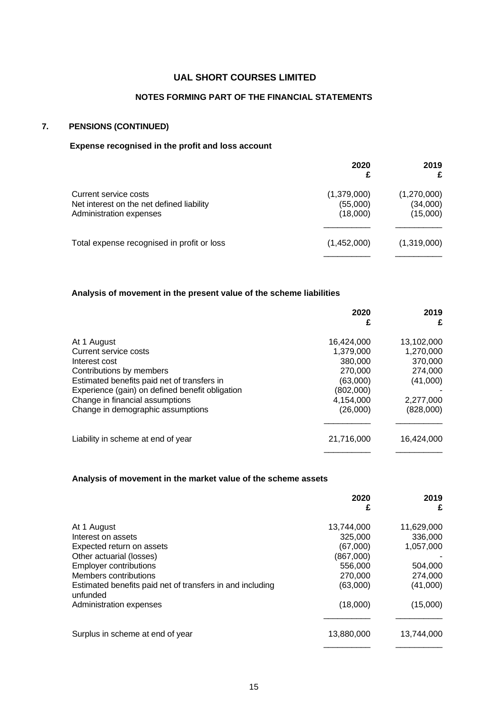### **NOTES FORMING PART OF THE FINANCIAL STATEMENTS**

# **7. PENSIONS (CONTINUED)**

### **Expense recognised in the profit and loss account**

|                                                                                               | 2020                                | 2019<br>£                           |
|-----------------------------------------------------------------------------------------------|-------------------------------------|-------------------------------------|
| Current service costs<br>Net interest on the net defined liability<br>Administration expenses | (1,379,000)<br>(55,000)<br>(18,000) | (1,270,000)<br>(34,000)<br>(15,000) |
| Total expense recognised in profit or loss                                                    | (1,452,000)                         | (1,319,000)                         |

### **Analysis of movement in the present value of the scheme liabilities**

|                                                 | 2020<br>£  | 2019<br>£  |
|-------------------------------------------------|------------|------------|
| At 1 August                                     | 16,424,000 | 13,102,000 |
| Current service costs                           | 1.379.000  | 1,270,000  |
| Interest cost                                   | 380,000    | 370,000    |
| Contributions by members                        | 270,000    | 274,000    |
| Estimated benefits paid net of transfers in     | (63,000)   | (41,000)   |
| Experience (gain) on defined benefit obligation | (802,000)  |            |
| Change in financial assumptions                 | 4,154,000  | 2,277,000  |
| Change in demographic assumptions               | (26,000)   | (828,000)  |
| Liability in scheme at end of year              | 21,716,000 | 16.424.000 |

### **Analysis of movement in the market value of the scheme assets**

|                                                                       | 2020<br>£  | 2019<br>£  |
|-----------------------------------------------------------------------|------------|------------|
| At 1 August                                                           | 13.744.000 | 11,629,000 |
| Interest on assets                                                    | 325,000    | 336,000    |
| Expected return on assets                                             | (67,000)   | 1,057,000  |
| Other actuarial (losses)                                              | (867,000)  |            |
| <b>Employer contributions</b>                                         | 556,000    | 504,000    |
| Members contributions                                                 | 270,000    | 274,000    |
| Estimated benefits paid net of transfers in and including<br>unfunded | (63,000)   | (41,000)   |
| Administration expenses                                               | (18,000)   | (15,000)   |
| Surplus in scheme at end of year                                      | 13.880.000 | 13,744,000 |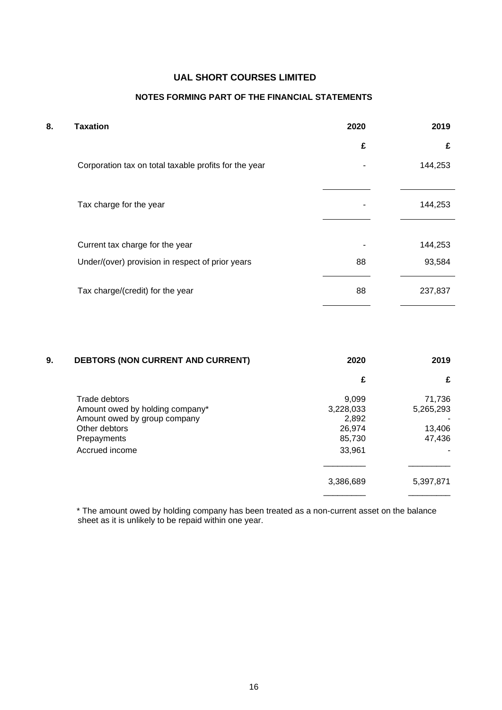# **NOTES FORMING PART OF THE FINANCIAL STATEMENTS**

| 8. | <b>Taxation</b>                                       | 2020 | 2019    |
|----|-------------------------------------------------------|------|---------|
|    |                                                       | £    | £       |
|    | Corporation tax on total taxable profits for the year |      | 144,253 |
|    | Tax charge for the year                               |      | 144,253 |
|    |                                                       |      |         |
|    | Current tax charge for the year                       |      | 144,253 |
|    | Under/(over) provision in respect of prior years      | 88   | 93,584  |
|    | Tax charge/(credit) for the year                      | 88   | 237,837 |

| 9. | <b>DEBTORS (NON CURRENT AND CURRENT)</b>                                                                                           | 2020                                                      | 2019                                    |
|----|------------------------------------------------------------------------------------------------------------------------------------|-----------------------------------------------------------|-----------------------------------------|
|    |                                                                                                                                    | £                                                         | £                                       |
|    | Trade debtors<br>Amount owed by holding company*<br>Amount owed by group company<br>Other debtors<br>Prepayments<br>Accrued income | 9,099<br>3,228,033<br>2,892<br>26,974<br>85,730<br>33,961 | 71,736<br>5,265,293<br>13,406<br>47,436 |
|    |                                                                                                                                    | 3,386,689                                                 | 5,397,871                               |
|    |                                                                                                                                    |                                                           |                                         |

 \* The amount owed by holding company has been treated as a non-current asset on the balance sheet as it is unlikely to be repaid within one year.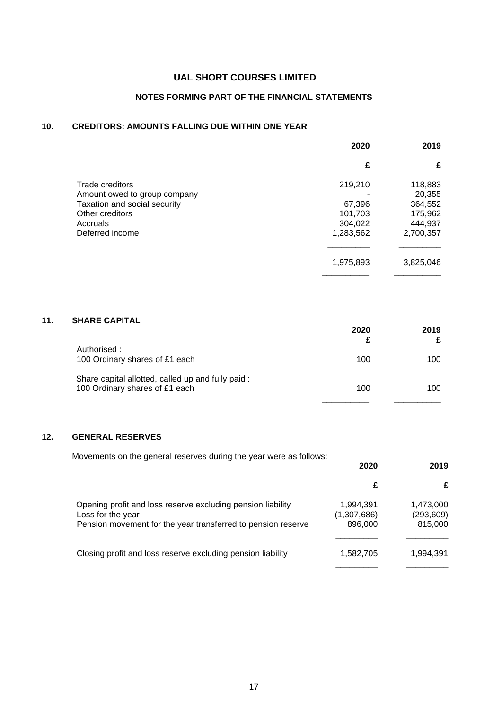# **NOTES FORMING PART OF THE FINANCIAL STATEMENTS**

### **10. CREDITORS: AMOUNTS FALLING DUE WITHIN ONE YEAR**

|                                                              | 2020               | 2019               |
|--------------------------------------------------------------|--------------------|--------------------|
|                                                              | £                  | £                  |
| Trade creditors                                              | 219,210            | 118,883            |
| Amount owed to group company<br>Taxation and social security | 67,396             | 20,355<br>364,552  |
| Other creditors<br>Accruals                                  | 101,703<br>304,022 | 175,962<br>444,937 |
| Deferred income                                              | 1,283,562          | 2,700,357          |
|                                                              | 1,975,893          | 3,825,046          |

## **11. SHARE CAPITAL**

|                                                                                     | 2020 | 2019<br>£ |
|-------------------------------------------------------------------------------------|------|-----------|
| Authorised :<br>100 Ordinary shares of £1 each                                      | 100  | 100       |
| Share capital allotted, called up and fully paid:<br>100 Ordinary shares of £1 each | 100  | 100       |
|                                                                                     |      |           |

### **12. GENERAL RESERVES**

Movements on the general reserves during the year were as follows:

|                                     | 2019                               |
|-------------------------------------|------------------------------------|
|                                     | £                                  |
| 1,994,391<br>(1,307,686)<br>896,000 | 1,473,000<br>(293, 609)<br>815,000 |
| 1,582,705                           | 1,994,391                          |
|                                     | 2020                               |